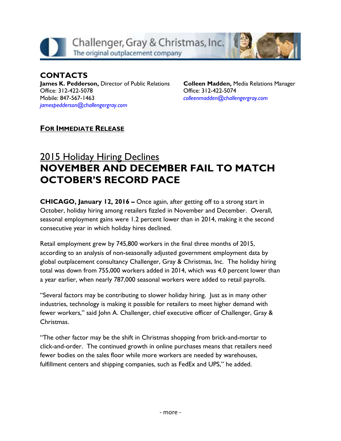

#### **CONTACTS James K. Pedderson,** Director of Public Relations Office: 312-422-5078 Mobile: 847-567-1463 *[jamespedderson@challengergray.com](mailto:jamespedderson@challengergray.com)*

**Colleen Madden,** Media Relations Manager Office: 312-422-5074 *[colleenmadden@challengergray.com](mailto:colleenmadden@challengergray.com)*

### **FOR IMMEDIATE RELEASE**

# 2015 Holiday Hiring Declines **NOVEMBER AND DECEMBER FAIL TO MATCH OCTOBER'S RECORD PACE**

**CHICAGO, January 12, 2016 –** Once again, after getting off to a strong start in October, holiday hiring among retailers fizzled in November and December. Overall, seasonal employment gains were 1.2 percent lower than in 2014, making it the second consecutive year in which holiday hires declined.

Retail employment grew by 745,800 workers in the final three months of 2015, according to an analysis of non-seasonally adjusted government employment data by global outplacement consultancy Challenger, Gray & Christmas, Inc. The holiday hiring total was down from 755,000 workers added in 2014, which was 4.0 percent lower than a year earlier, when nearly 787,000 seasonal workers were added to retail payrolls.

"Several factors may be contributing to slower holiday hiring. Just as in many other industries, technology is making it possible for retailers to meet higher demand with fewer workers," said John A. Challenger, chief executive officer of Challenger, Gray & Christmas.

"The other factor may be the shift in Christmas shopping from brick-and-mortar to click-and-order. The continued growth in online purchases means that retailers need fewer bodies on the sales floor while more workers are needed by warehouses, fulfillment centers and shipping companies, such as FedEx and UPS," he added.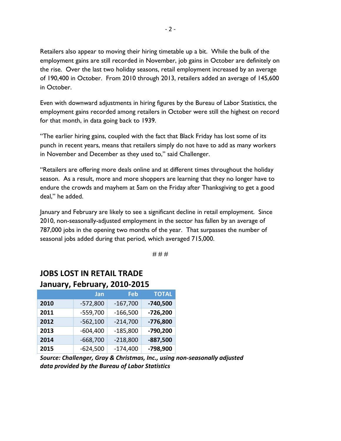Retailers also appear to moving their hiring timetable up a bit. While the bulk of the employment gains are still recorded in November, job gains in October are definitely on the rise. Over the last two holiday seasons, retail employment increased by an average of 190,400 in October. From 2010 through 2013, retailers added an average of 145,600 in October.

Even with downward adjustments in hiring figures by the Bureau of Labor Statistics, the employment gains recorded among retailers in October were still the highest on record for that month, in data going back to 1939.

"The earlier hiring gains, coupled with the fact that Black Friday has lost some of its punch in recent years, means that retailers simply do not have to add as many workers in November and December as they used to," said Challenger.

"Retailers are offering more deals online and at different times throughout the holiday season. As a result, more and more shoppers are learning that they no longer have to endure the crowds and mayhem at 5am on the Friday after Thanksgiving to get a good deal," he added.

January and February are likely to see a significant decline in retail employment. Since 2010, non-seasonally-adjusted employment in the sector has fallen by an average of 787,000 jobs in the opening two months of the year. That surpasses the number of seasonal jobs added during that period, which averaged 715,000.

# # #

## **JOBS LOST IN RETAIL TRADE January, February, 2010-2015**

|      | Jan        | Feb        | <b>TOTAL</b> |
|------|------------|------------|--------------|
| 2010 | $-572,800$ | $-167,700$ | $-740,500$   |
| 2011 | $-559,700$ | $-166,500$ | $-726,200$   |
| 2012 | $-562,100$ | $-214,700$ | $-776,800$   |
| 2013 | $-604,400$ | $-185,800$ | $-790,200$   |
| 2014 | $-668,700$ | $-218,800$ | $-887,500$   |
| 2015 | $-624,500$ | $-174,400$ | -798,900     |

*Source: Challenger, Gray & Christmas, Inc., using non-seasonally adjusted data provided by the Bureau of Labor Statistics*